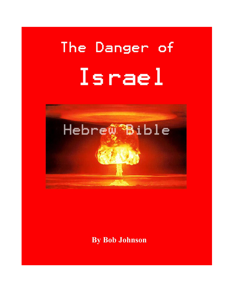# The Danger of Israel



### **By Bob Johnson**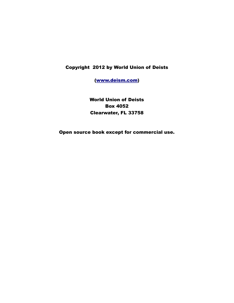#### Copyright 2012 by World Union of Deists

[\(www.deism.com\)](http://www.deism.com/)

World Union of Deists Box 4052 Clearwater, FL 33758

Open source book except for commercial use.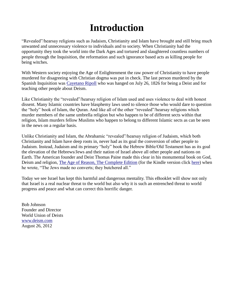# **Introduction**

"Revealed"/hearsay religions such as Judaism, Christianity and Islam have brought and still bring much unwanted and unnecessary violence to individuals and to society. When Christianity had the opportunity they took the world into the Dark Ages and tortured and slaughtered countless numbers of people through the Inquisition, the reformation and such ignorance based acts as killing people for being witches.

With Western society enjoying the Age of Enlightenment the raw power of Christianity to have people murdered for disagreeing with Christian dogma was put in check. The last person murdered by the Spanish Inquisition was [Cayetano Ripoll](http://www.deism.com/martyrfordeism.htm) who was hanged on July 26, 1826 for being a Deist and for teaching other people about Deism.

Like Christianity the "revealed"/hearsay religion of Islam used and uses violence to deal with honest dissent. Many Islamic countries have blasphemy laws used to silence those who would dare to question the "holy" book of Islam, the Quran. And like all of the other "revealed"/hearsay religions which murder members of the same umbrella religion but who happen to be of different sects within that religion, Islam murders fellow Muslims who happen to belong to different Islamic sects as can be seen in the news on a regular basis.

Unlike Christianity and Islam, the Abrahamic "revealed"/hearsay religion of Judaism, which both Christianity and Islam have deep roots in, never had as its goal the conversion of other people to Judaism. Instead, Judaism and its primary "holy" book the Hebrew Bible/Old Testament has as its goal the elevation of the Hebrews/Jews and their nation of Israel above all other people and nations on Earth. The American founder and Deist Thomas Paine made this clear in his monumental book on God, Deism and religion, [The Age of Reason, The Complete Edition](http://www.deism.com/the_age_of_reason_paine.htm) (for the Kindle version click [here\)](http://www.amazon.com/dp/B003O68GB2?tag=deism&camp=14573&creative=327641&linkCode=as1&creativeASIN=B003O68GB2&adid=0NMM0BAEW5V2SYY8FG62&&ref-refURL=http://www.deism.com/kindledeismbooks.htm) when he wrote, "The Jews made no converts; they butchered all."

Today we see Israel has kept this harmful and dangerous mentality. This eBooklet will show not only that Israel is a real nuclear threat to the world but also why it is such an entrenched threat to world progress and peace and what can correct this horrific danger.

Bob Johnson Founder and Director World Union of Deists [www.deism.com](http://www.deism.com/) August 26, 2012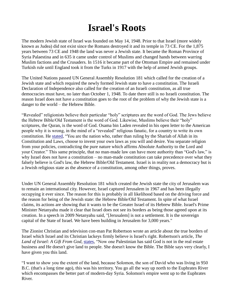## **Israel's Roots**

The modern Jewish state of Israel was founded on May 14, 1948. Prior to that Israel (more widely known as Judea) did not exist since the Romans destroyed it and its temple in 73 CE. For the 1,875 years between 73 CE and 1948 the land was never a Jewish state. It became the Roman Province of Syria Palaestina and in 635 it came under control of Muslims and changed hands between warring Muslim factions and the Crusaders. In 1516 it became part of the Ottoman Empire and remained under Turkish rule until England took it from the Turks in 1917 with the help of armed Jewish groups.

The United Nations passed UN General Assembly Resolution 181 which called for the creation of a Jewish state and which required the newly formed Jewish state to have a constitution. The Israeli Declaration of Independence also called for the creation of an Israeli constitution, as all true democracies must have, no later than October 1, 1948. To date there still is no Israeli constitution. The reason Israel does not have a constitution goes to the root of the problem of why the Jewish state is a danger to the world – the Hebrew Bible.

"Revealed" religionists believe their particular "holy" scriptures are the word of God. The Jews believe the Hebrew Bible/Old Testament is the word of God. Likewise, Muslims believe their "holy" scriptures, the Quran, is the word of God. Osama bin Laden revealed in his open letter to the American people why it is wrong, in the mind of a "revealed" religious fanatic, for a country to write its own constitution. He [stated,](http://www.guardian.co.uk/world/2002/nov/24/theobserver) "You are the nation who, rather than ruling by the Shariah of Allah in its Constitution and Laws, choose to invent your own laws as you will and desire. You separate religion from your policies, contradicting the pure nature which affirms Absolute Authority to the Lord and your Creator." This same principle, that no man-made law can have more authority than "God's law," is why Israel does not have a constitution – no man-made constitution can take precedence over what they falsely believe is God's law, the Hebrew Bible/Old Testament. Israel is in reality not a democracy but is a Jewish religious state as the absence of a constitution, among other things, proves.

Under UN General Assembly Resolution 181 which created the Jewish state the city of Jerusalem was to remain an international city. However, Israel captured Jerusalem in 1967 and has been illegally occupying it ever since. The reason for this is probably in all likelihood based on the driving force and the reason for being of the Jewish state: the Hebrew Bible/Old Testament. In spite of what Israel claims, its actions are showing that it wants to be the Greater Israel of its Hebrew Bible. Israel's Prime Minister Netanyahu made it clear that Israel does not see its borders as being those agreed upon at its creation. In a speech in 2009 Netanyahu said, "[Jerusalem] is not a settlement. It is the sovereign capital of the State of Israel. We have been building in Jerusalem for 3,000 years."

The Zionist Christian and television con-man Pat Robertson wrote an article about the true borders of Israel which Israel and its Christian lackeys firmly believe is Israel's right. Robertson's article, *The Land of Israel: A Gift From God*, [states,](http://patrobertson.com/teaching/TeachingonIsraelTerritory.asp) "Now one Palestinian has said God is not in the real estate business and He doesn't give land to people. She doesn't know the Bible. The Bible says very clearly, I have given you this land.

"I want to show you the extent of the land, because Solomon, the son of David who was living in 950 B.C. (that's a long time ago), this was his territory. You go all the way up north to the Euphrates River which encompasses the better part of modern-day Syria. Solomon's empire went up to the Euphrates River.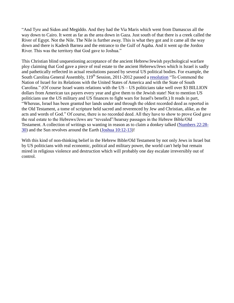"And Tyre and Sidon and Megiddo. And they had the Via Maris which went from Damascus all the way down to Cairo. It went as far as the area down in Gaza. Just south of that there is a creek called the River of Egypt. Not the Nile. The Nile is further away. This is what they got and it came all the way down and there is Kadesh Barnea and the entrance to the Gulf of Aqaba. And it went up the Jordon River. This was the territory that God gave to Joshua."

This Christian blind unquestioning acceptance of the ancient Hebrew/Jewish psychological warfare ploy claiming that God gave a piece of real estate to the ancient Hebrews/Jews which is Israel is sadly and pathetically reflected in actual resolutions passed by several US political bodies. For example, the South Carolina General Assembly, 119<sup>th</sup> Session, 2011-2012 passed a [resolution](http://www.scstatehouse.gov/sess119_2011-2012/bills/4339.htm) "To Commend the Nation of Israel for its Relations with the United States of America and with the State of South Carolina." (Of course Israel wants relations with the  $US - US$  politicians take well over \$3 BILLION dollars from American tax payers every year and give them to the Jewish state! Not to mention US politicians use the US military and US finances to fight wars for Israel's benefit.) It reads in part, "Whereas, Israel has been granted her lands under and through the oldest recorded deed as reported in the Old Testament, a tome of scripture held sacred and reverenced by Jew and Christian, alike, as the acts and words of God." Of course, there is no recorded deed. All they have to show to prove God gave the real estate to the Hebrews/Jews are "revealed"/hearsay passages in the Hebrew Bible/Old Testament. A collection of writings so wanting in reason as to claim a donkey talked [\(Numbers 22:28-](http://www.skepticsannotatedbible.com/num/22.html) [30\)](http://www.skepticsannotatedbible.com/num/22.html) and the Sun revolves around the Earth [\(Joshua 10:12-13\)](http://www.skepticsannotatedbible.com/jos/10.html#12)!

With this kind of non-thinking belief in the Hebrew Bible/Old Testament by not only Jews in Israel but by US politicians with real economic, political and military power, the world can't help but remain mired in religious violence and destruction which will probably one day escalate irreversibly out of control.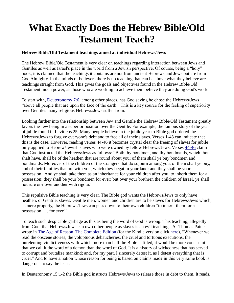# **What Exactly Does the Hebrew Bible/Old Testament Teach?**

#### **Hebrew Bible/Old Testament teachings aimed at individual Hebrews/Jews**

The Hebrew Bible/Old Testament is very clear on teachings regarding interaction between Jews and Gentiles as well as Israel's place in the world from a Jewish perspective. Of course, being a "holy" book, it is claimed that the teachings it contains are not from ancient Hebrews and Jews but are from God Almighty. In the minds of believers there is no teaching that can be above what they believe are teachings straight from God. This gives the goals and objectives found in the Hebrew Bible/Old Testament much power, as those who are working to achieve them believe they are doing God's work.

To start with, [Deuteronomy 7:6,](http://skepticsannotatedbible.com/dt/7.html) among other places, has God saying he chose the Hebrews/Jews "above all people that are upon the face of the earth." This is a key source for the feeling of superiority over Gentiles many religious Hebrews/Jews suffer from.

Looking further into the relationship between Jew and Gentile the Hebrew Bible/Old Testament greatly favors the Jew being in a superior position over the Gentile. For example, the famous story of the year of jubile found in Leviticus 25. Many people believe in the jubile year to Bible god ordered the Hebrews/Jews to forgive everyone's debt and to free all of their slaves. Verses 1-43 can indicate that this is the case. However, reading verses 44-46 it becomes crystal clear the freeing of slaves for jubile only applied to Hebrew/Jewish slaves who were owned by fellow Hebrews/Jews. Verses [44-46](http://skepticsannotatedbible.com/lev/25.html) claim that God instructed the Hebrews/Jews as follows: "Both thy bondmen, and thy bondmaids, which thou shalt have, shall be of the heathen that are round about you; of them shall ye buy bondmen and bondmaids. Moreover of the children of the strangers that do sojourn among you, of them shall ye buy, and of their families that are with you, which they begat in your land: and they shall be your possession. And ye shall take them as an inheritance for your children after you, to inherit them for a possession; they shall be your bondmen for ever: but over your brethren the children of Israel, ye shall not rule one over another with rigour."

This repulsive Bible teaching is very clear. The Bible god wants the Hebrews/Jews to only have heathen, or Gentile, slaves. Gentile men, women and children are to be slaves for Hebrews/Jews which, as mere property, the Hebrews/Jews can pass down to their own children "to inherit them for a possession . . . for ever."

To teach such despicable garbage as this as being the word of God is wrong. This teaching, allegedly from God, that Hebrews/Jews can own other people as slaves is an evil teachings. As Thomas Paine wrote in [The Age of Reason, The Complete Edition](http://www.deism.com/the_age_of_reason_paine.htm) (for the Kindle version click [here\)](http://www.amazon.com/dp/B003O68GB2?tag=deism&camp=14573&creative=327641&linkCode=as1&creativeASIN=B003O68GB2&adid=0NMM0BAEW5V2SYY8FG62&&ref-refURL=http://www.deism.com/kindledeismbooks.htm), "Whenever we read the obscene stories, the voluptuous debaucheries, the cruel and tortuous executions, the unrelenting vindictiveness with which more than half the Bible is filled, it would be more consistant that we call it the word of a demon than the word of God. It is a history of wickedness that has served to corrupt and brutalize mankind; and, for my part, I sincerely detest it, as I detest everything that is cruel." And to have a nation whose reason for being is based on claims made in this very same book is dangerous to say the least.

In Deuteronomy 15:1-2 the Bible god instructs Hebrews/Jews to release those in debt to them. It reads,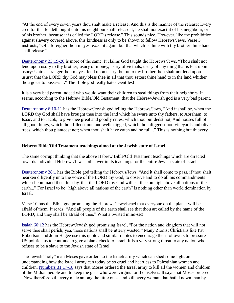"At the end of every seven years thou shalt make a release. And this is the manner of the release: Every creditor that lendeth ought unto his neighbour shall release it; he shall not exact it of his neighbour, or of his brother; because it is called the LORD's release." This sounds nice. However, like the prohibition against slavery covered above, this kindness is only to be shown to fellow Hebrews/Jews. Verse 3 instructs, "Of a foreigner thou mayest exact it again: but that which is thine with thy brother thine hand shall release"

[Deuteronomy 23:19-20](http://skepticsannotatedbible.com/dt/23.html) is more of the same. It claims God taught the Hebrews/Jews, "Thou shalt not lend upon usury to thy brother; usury of money, usury of victuals, usury of any thing that is lent upon usury: Unto a stranger thou mayest lend upon usury; but unto thy brother thou shalt not lend upon usury: that the LORD thy God may bless thee in all that thou settest thine hand to in the land whither thou goest to possess it." The Bible god really hates Gentiles!

It is a very bad parent indeed who would want their children to steal things from their neighbors. It seems, according to the Hebrew Bible/Old Testament, that the Hebrew/Jewish god is a very bad parent.

[Deuteronomy 6:10-11](http://skepticsannotatedbible.com/dt/6.html) has the Hebrew/Jewish god telling the Hebrews/Jews, "And it shall be, when the LORD thy God shall have brought thee into the land which he sware unto thy fathers, to Abraham, to Isaac, and to Jacob, to give thee great and goodly cities, which thou buildedst not, And houses full of all good things, which thou filledst not, and wells digged, which thou diggedst not, vineyards and olive trees, which thou plantedst not; when thou shalt have eaten and be full..." This is nothing but thievery.

#### **Hebrew Bible/Old Testament teachings aimed at the Jewish state of Israel**

The same corrupt thinking that the above Hebrew Bible/Old Testament teachings which are directed towards individual Hebrews/Jews spills over in its teachings for the entire Jewish state of Israel.

[Deuteronomy 28:1](http://skepticsannotatedbible.com/dt/28.html) has the Bible god telling the Hebrews/Jews, "And it shall come to pass, if thou shalt hearken diligently unto the voice of the LORD thy God, to observe and to do all his commandments which I command thee this day, that the LORD thy God will set thee on high above all nations of the earth..." For Israel to be "high above all nations of the earth" is nothing other than world domination by Israel.

Verse 10 has the Bible god promising the Hebrews/Jews/Israel that everyone on the planet will be afraid of them. It reads, "And all people of the earth shall see that thou art called by the name of the LORD; and they shall be afraid of thee." What a twisted mind-set!

[Isaiah 60:12](http://skepticsannotatedbible.com/is/60.html) has the Hebrew/Jewish god promising Israel, "For the nation and kingdom that will not serve thee shall perish; yea, those nations shall be utterly wasted." Many Zionist Christians like Pat Robertson and John Hagee use this quote and similar quotes to encourage their followers to pressure US politicians to continue to give a blank check to Israel. It is a very strong threat to any nation who refuses to be a slave to the Jewish state of Israel.

The Jewish "holy" man Moses gave orders to the Israeli army which can shed some light on understanding how the Israeli army can today be so cruel and heartless to Palestinian women and children. [Numbers 31:17-18](http://skepticsannotatedbible.com/num/31.html) says that Moses ordered the Israel army to kill all the women and children of the Midian people and to keep the girls who were virgins for themselves. It says that Moses ordered, "Now therefore kill every male among the little ones, and kill every woman that hath known man by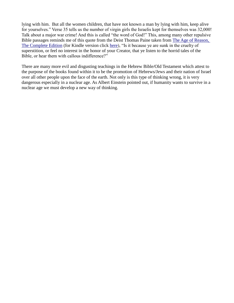lying with him. But all the women children, that have not known a man by lying with him, keep alive for yourselves." Verse 35 tells us the number of virgin girls the Israelis kept for themselves was 32,000! Talk about a major war crime! And this is called "the word of God!" This, among many other repulsive Bible passages reminds me of this quote from the Deist Thomas Paine taken from [The Age of Reason,](http://www.deism.com/the_age_of_reason_paine.htm)  [The Complete Edition](http://www.deism.com/the_age_of_reason_paine.htm) (for Kindle version click [here\)](http://www.amazon.com/dp/B003O68GB2?tag=deism&camp=14573&creative=327641&linkCode=as1&creativeASIN=B003O68GB2&adid=150JM4F9XS7ZVZJRZQM6&&ref-refURL=http://www.deism.com/kindledeismbooks.htm), "Is it because ye are sunk in the cruelty of superstition, or feel no interest in the honor of your Creator, that ye listen to the horrid tales of the Bible, or hear them with callous indifference?"

There are many more evil and disgusting teachings in the Hebrew Bible/Old Testament which attest to the purpose of the books found within it to be the promotion of Hebrews/Jews and their nation of Israel over all other people upon the face of the earth. Not only is this type of thinking wrong, it is very dangerous especially in a nuclear age. As Albert Einstein pointed out, if humanity wants to survive in a nuclear age we must develop a new way of thinking.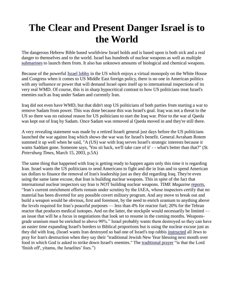## **The Clear and Present Danger Israel is to the World**

The dangerous Hebrew Bible based worldview Israel holds and is based upon is both sick and a real danger to themselves and to the world. Israel has hundreds of nuclear weapons as well as multiple [submarines](http://www.spiegel.de/international/world/israel-deploys-nuclear-weapons-on-german-submarines-a-836671.html) to launch them from. It also has unknown amounts of biological and chemical weapons.

Because of the powerful [Israel lobby](http://www.amazon.com/dp/0374177724?tag=deism&camp=14573&creative=327641&linkCode=as1&creativeASIN=0374177724&adid=1EFRPQWHB6QEXVM7RPQ1&&ref-refURL=http://www.deism.com/books.htm) in the US which enjoys a virtual monopoly on the White House and Congress when it comes to US Middle East foreign policy, there is no one in American politics with any influence or power that will demand Israel open itself up to international inspections of its very real WMD. Of course, this is in sharp hypocritical contrast to how US politicians treat Israel's enemies such as Iraq under Sadam and currently Iran.

Iraq did not even have WMD, but that didn't stop US politicians of both parties from starting a war to remove Sadam from power. This was done because this was Israel's goal. Iraq was not a threat to the US so there was no rational reason for US politicians to start the Iraq war. Prior to the war al Qaeda was kept out of Iraq by Sadam. Once Sadam was removed al Qaeda moved in and they're still there.

A very revealing statement was made by a retired Israeli general just days before the US politicians launched the war against Iraq which shows the war was for Israel's benefit. General Avraham Rotem summed it up well when he said, "A (US) war with Iraq serves Israel's strategic interests because it wants Saddam gone. Someone says, 'You sit back, we'll take care of it' - - what's better than that?" (*St. Petersburg Times*, March 15, 2003, p.5A)

The same thing that happened with Iraq is getting ready to happen again only this time it is regarding Iran. Israel wants the US politicians to send Americans to fight and die in Iran and to spend American tax dollars to finance the removal of Iran's leadership just as they did regarding Iraq. They're even using the same lame excuse, that Iran is building nuclear weapons. This in spite of the fact that international nuclear inspectors say Iran is NOT building nuclear weapons. *TIME Magazine* [reports,](http://world.time.com/2012/03/02/obama-offers-israel-a-path-to-avoid-an-iran-war-but-will-netanyahu-buy-its-terms/?xid=gonewsedit&google_editors_picks=true) "Iran's current enrichment efforts remain under scrutiny by the IAEA, whose inspectors certify that no material has been diverted for any possible covert military program. And any move to break out and build a weapon would be obvious, first and foremost, by the need to enrich uranium to anything above the levels required for Iran's peaceful purposes — less than 4% for reactor fuel; 20% for the Tehran reactor that produces medical isotopes. And on the latter, the stockpile would necessarily be limited an issue that will be a focus in negotiations that look set to resume in the coming months. Weaponsgrade uranium must be enriched to above 90%." Israel probably wants them destroyed so they can have an easier time expanding Israel's borders to Biblical proportions but is using the nuclear excuse just as they did with Iraq. (Israel wants Iran destroyed so bad one of Israel's top rabbis [instructed](http://www.examiner.com/article/leading-israeli-rabbi-instructs-jews-to-pray-for-god-to-destroy-iran) all Jews to pray for Iran's destruction when they say their "traditional Jewish New Year blessing next month over food in which God is asked to strike down Israel's enemies." The [traditional prayer](http://baltimorejewishlife.com/news/print.php?ARTICLE_ID=31814) "is that the Lord 'finish off', yitamu, the Israelites' foes.")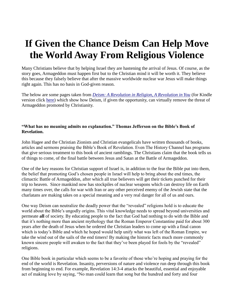## **If Given the Chance Deism Can Help Move the World Away From Religious Violence**

Many Christians believe that by helping Israel they are hastening the arrival of Jesus. Of course, as the story goes, Armageddon must happen first but to the Christian mind it will be worth it. They believe this because they falsely believe that after the massive worldwide nuclear war Jesus will make things right again. This has no basis in God-given reason.

The below are some pages taken from *[Deism: A Revolution in Religion, A Revolution in You](http://www.deism.com/deismbook.htm)* (for Kindle version click [here\)](http://www.amazon.com/dp/B003IPCOV2?tag=deism&camp=14573&creative=327641&linkCode=as1&creativeASIN=B003IPCOV2&adid=0WC1DD5MAB5SNGTDSW69&&ref-refURL=http://www.deism.com/kindledeismbooks.htm) which show how Deism, if given the opportunity, can virtually remove the threat of Armageddon promoted by Christianity.

#### **"What has no meaning admits no explanation." Thomas Jefferson on the Bible's Book of Revelation.**

John Hagee and the Christian Zionists and Christian evangelicals have written thousands of books, articles and sermons praising the Bible's Book of Revelation. Even The History Channel has programs that give serious treatment to this book of ancient ramblings. The Christians claim that the book tells us of things to come, of the final battle between Jesus and Satan at the Battle of Armageddon.

One of the key reasons for Christian support of Israel is, in addition to the fear the Bible put into them, the belief that promoting God's chosen people in Israel will help to bring about the end times, the climactic Battle of Armageddon, after which all true believers will get their tickets punched for their trip to heaven. Since mankind now has stockpiles of nuclear weapons which can destroy life on Earth many times over, the calls for war with Iran or any other perceived enemy of the Jewish state that the charlatans are making takes on a special meaning and a very real danger for all of us and ours.

One way Deism can neutralize the deadly power that the "revealed" religions hold is to educate the world about the Bible's ungodly origins. This vital knowledge needs to spread beyond universities and permeate **all** of society. By educating people to the fact that God had nothing to do with the Bible and that it's nothing more than ancient mythology that the Roman Emperor Constantine paid for about 300 years after the death of Jesus when he ordered the Christian leaders to come up with a final canon which is today's Bible and which he hoped would help unify what was left of the Roman Empire, we take the wind out of the sails of the end timers! By making the historic facts much more commonly known sincere people will awaken to the fact that they've been played for fools by the "revealed" religions.

One Bible book in particular which seems to be a favorite of those who're hoping and praying for the end of the world is Revelation. Insanity, perversions of nature and violence run deep through this book from beginning to end. For example, Revelation 14:3-4 attacks the beautiful, essential and enjoyable act of making love by saying, "No man could learn that song but the hundred and forty and four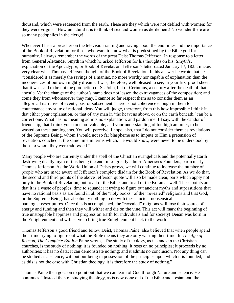thousand, which were redeemed from the earth. These are they which were not defiled with women; for they were virgins." How unnatural it is to think of sex and women as defilement! No wonder there are so many pedophiles in the clergy!

Whenever I hear a preacher on the television ranting and raving about the end times and the importance of the Book of Revelation for those who want to know what is predestined by the Bible god for humanity, I always remember the words of the great Deist Thomas Jefferson. In response to a letter from General Alexander Smyth in which he asked Jefferson for his thoughts on his, Smyth's, explanation of the Apocalypse, or Book of Revelation, Jefferson's letter dated January 17, 1825, makes very clear what Thomas Jefferson thought of the Book of Revelation. In his answer he wrote that he "considered it as merely the ravings of a maniac, no more worthy nor capable of explanation than the incoherences of our own nightly dreams. I was, therefore, well pleased to see, in your first proof sheet, that it was said to be not the production of St. John, but of Cerinthus, a century after the death of that apostle. Yet the change of the author's name does not lessen the extravagances of the composition; and come they from whomsoever they may, I cannot so far respect them as to consider them as an allegorical narrative of events, past or subsequent. There is not coherence enough in them to countenance any suite of rational ideas. You will judge, therefore, from this how impossible I think it that either your explanation, or that of any man in 'the heavens above, or on the earth beneath,' can be a correct one. What has no meaning admits no explanation; and pardon me if I say, with the candor of friendship, that I think your time too valuable, and your understanding of too high an order, to be wasted on these paralogisms. You will perceive, I hope, also, that I do not consider them as revelations of the Supreme Being, whom I would not so far blaspheme as to impute to Him a pretension of revelation, couched at the same time in terms which, He would know, were never to be understood by those to whom they were addressed."

Many people who are currently under the spell of the Christian evangelicals and the potentially Earth destroying deadly myth of this being the end times greatly admire America's Founders, particularly Thomas Jefferson. As the World Union of Deists grows, we will continue to increase the number of people who are made aware of Jefferson's complete disdain for the Book of Revelation. As we do that, the second and third points of the above Jefferson quote will also be made clear, parts which apply not only to the Book of Revelation, but to all of the Bible, and to all of the Koran as well. These points are that it is a waste of peoples' time to squander it trying to figure out ancient myths and superstitions that have no rational basis as are found in all of the "holy books" of the "revealed" religions and that God, or the Supreme Being, has absolutely nothing to do with these ancient nonsensical paralogisms/scriptures. Once this is accomplished, the "revealed" religions will lose their source of energy and funding and then they will wither and die on the vine. This act will mark the beginning of true unstoppable happiness and progress on Earth for individuals and for society! Deism was born in the Enlightenment and will serve to bring true Enlightenment back to the world.

Thomas Jefferson's good friend and fellow Deist, Thomas Paine, also believed that when people spend their time trying to figure out what the Bible means they are only wasting their time. In *The Age of Reason, The Complete Edition* Paine wrote, "The study of theology, as it stands in the Christian churches, is the study of nothing; it is founded on nothing; it rests on no principles; it proceeds by no authorities; it has no data; it can demonstrate nothing; and it admits no conclusion. Not any thing can be studied as a science, without our being in possession of the principles upon which it is founded; and as this is not the case with Christian theology, it is therefore the study of nothing."

Thomas Paine then goes on to point out that we can learn of God through Nature and science. He continues, "Instead then of studying theology, as is now done out of the Bible and Testament, the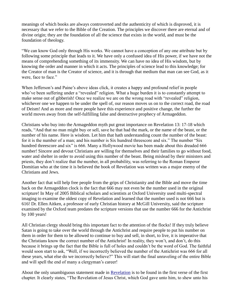meanings of which books are always controverted and the authenticity of which is disproved, it is necessary that we refer to the Bible of the Creation. The principles we discover there are eternal and of divine origin; they are the foundation of all the science that exists in the world, and must be the foundation of theology.

"We can know God only through His works. We cannot have a conception of any one attribute but by following some principle that leads to it. We have only a confused idea of His power, if we have not the means of comprehending something of its immensity. We can have no idea of His wisdom, but by knowing the order and manner in which it acts. The principles of science lead to this knowledge; for the Creator of man is the Creator of science, and it is through that medium that man can see God, as it were, face to face."

When Jefferson's and Paine's above ideas click, it creates a happy and profound relief in people who've been suffering under a "revealed" religion. What a huge burden it is to constantly attempt to make sense out of gibberish! Once we realize we are on the wrong road with "revealed" religion, whichever one we happen to be under the spell of, our reason moves us on to the correct road, the road of Deism! And as more and more people have this experience and positive change, the further the world moves away from the self-fulfilling false and destructive prophecy of Armageddon.

Christians who buy into the Armageddon myth put great importance on Revelation 13: 17-18 which reads, "And that no man might buy or sell, save he that had the mark, or the name of the beast, or the number of his name. Here is wisdom. Let him that hath understanding count the number of the beast: for it is the number of a man; and his number is Six hundred threescore and six." The number "Six hundred threescore and six" is 666. Many a Hollywood movie has been made about this dreaded 666 number! Sincere and devout Christians are willing for themselves and their families to go without food, water and shelter in order to avoid using this number of the beast. Being mislead by their ministers and priests, they don't realize that the number, in all probability, was referring to the Roman Emperor Domitian who at the time it is believed the book of Revelation was written was a major enemy of the Christians and Jews.

Another fact that will help free people from the grips of Christianity and the Bible and move the time back on the Armageddon clock is the fact that 666 may not even be the number used in the original scripture! In May of 2005 Biblical scholars and scientists at Oxford University used multi-spectral imaging to examine the oldest copy of Revelation and learned that the number used is not 666 but is 616! Dr. Ellen Aitken, a professor of early Christian history at McGill University, said the scripture examined by the Oxford team predates the scripture versions that use the number 666 for the Antichrist by 100 years!

All Christian clergy should bring this important fact to the attention of the flocks! If they truly believe Satan is going to take over the world through the Antichrist and require people to put his number on them in order for them to be allowed to continue to buy and sell, in short, to live, it is imperative that the Christians know the correct number of the Antichrist! In reality, they won't, and don't, do this because it brings up the fact that the Bible is full of holes and couldn't be the word of God. The faithful would soon start to ask, "Well, if we incorrectly believed the number of the Antichrist was 666 for all these years, what else do we incorrectly believe?" This will start the final unraveling of the entire Bible and will spell the end of many a clergyman's career!

About the only unambiguous statement made in [Revelation](http://skepticsannotatedbible.com/rev/1.html) is to be found in the first verse of the first chapter. It clearly states, "The Revelation of Jesus Christ, which God gave unto him, to shew unto his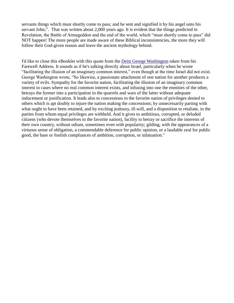servants things which must shortly come to pass; and he sent and signified it by his angel unto his servant John;". That was written about 2,000 years ago. It is evident that the things predicted in Revelation, the Battle of Armageddon and the end of the world, which "must shortly come to pass" did NOT happen! The more people are made aware of these Biblical inconsistencies, the more they will follow their God-given reason and leave the ancient mythology behind.

I'd like to close this eBooklet with this quote from the [Deist George Washington](http://www.deism.com/washington.htm) taken from his Farewell Address. It sounds as if he's talking directly about Israel, particularly when he wrote "facilitating the illusion of an imaginary common interest," even though at the time Israel did not exist. George Washington wrote, "So likewise, a passionate attachment of one nation for another produces a variety of evils. Sympathy for the favorite nation, facilitating the illusion of an imaginary common interest in cases where no real common interest exists, and infusing into one the enmities of the other, betrays the former into a participation in the quarrels and wars of the latter without adequate inducement or justification. It leads also to concessions to the favorite nation of privileges denied to others which is apt doubly to injure the nation making the concessions; by unnecessarily parting with what ought to have been retained, and by exciting jealousy, ill-will, and a disposition to retaliate, in the parties from whom equal privileges are withheld. And it gives to ambitious, corrupted, or deluded citizens (who devote themselves to the favorite nation), facility to betray or sacrifice the interests of their own country, without odium, sometimes even with popularity; gilding, with the appearances of a virtuous sense of obligation, a commendable deference for public opinion, or a laudable zeal for public good, the base or foolish compliances of ambition, corruption, or infatuation."